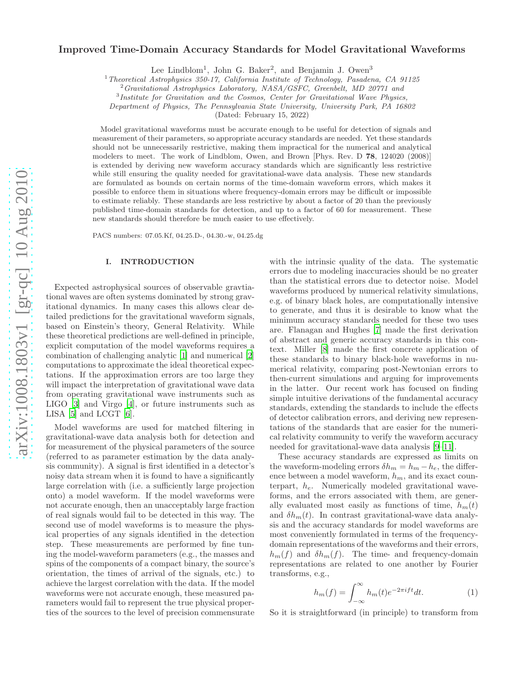# arXiv:1008.1803v1 [gr-qc] 10 Aug 2010 [arXiv:1008.1803v1 \[gr-qc\] 10 Aug 2010](http://arxiv.org/abs/1008.1803v1)

# Improved Time-Domain Accuracy Standards for Model Gravitational Waveforms

Lee Lindblom<sup>1</sup>, John G. Baker<sup>2</sup>, and Benjamin J. Owen<sup>3</sup>

<sup>1</sup>Theoretical Astrophysics 350-17, California Institute of Technology, Pasadena, CA 91125<sup>2</sup>Gravitational Astrophysics Laboratory, NASA/GSFC, Greenbelt, MD 20771 and

 $3$ Institute for Gravitation and the Cosmos, Center for Gravitational Wave Physics,

Department of Physics, The Pennsylvania State University, University Park, PA 16802

(Dated: February 15, 2022)

Model gravitational waveforms must be accurate enough to be useful for detection of signals and measurement of their parameters, so appropriate accuracy standards are needed. Yet these standards should not be unnecessarily restrictive, making them impractical for the numerical and analytical modelers to meet. The work of Lindblom, Owen, and Brown [Phys. Rev. D 78, 124020 (2008)] is extended by deriving new waveform accuracy standards which are significantly less restrictive while still ensuring the quality needed for gravitational-wave data analysis. These new standards are formulated as bounds on certain norms of the time-domain waveform errors, which makes it possible to enforce them in situations where frequency-domain errors may be difficult or impossible to estimate reliably. These standards are less restrictive by about a factor of 20 than the previously published time-domain standards for detection, and up to a factor of 60 for measurement. These new standards should therefore be much easier to use effectively.

PACS numbers: 07.05.Kf, 04.25.D-, 04.30.-w, 04.25.dg

# I. INTRODUCTION

Expected astrophysical sources of observable gravtiational waves are often systems dominated by strong gravitational dynamics. In many cases this allows clear detailed predictions for the gravitational waveform signals, based on Einstein's theory, General Relativity. While these theoretical predictions are well-defined in principle, explicit computation of the model waveforms requires a combination of challenging analytic [\[1](#page-9-0)] and numerical [\[2](#page-9-1)] computations to approximate the ideal theoretical expectations. If the approximation errors are too large they will impact the interpretation of gravitational wave data from operating gravitational wave instruments such as LIGO [\[3\]](#page-9-2) and Virgo [\[4\]](#page-9-3), or future instruments such as LISA [\[5\]](#page-9-4) and LCGT [\[6\]](#page-9-5).

Model waveforms are used for matched filtering in gravitational-wave data analysis both for detection and for measurement of the physical parameters of the source (referred to as parameter estimation by the data analysis community). A signal is first identified in a detector's noisy data stream when it is found to have a significantly large correlation with (i.e. a sufficiently large projection onto) a model waveform. If the model waveforms were not accurate enough, then an unacceptably large fraction of real signals would fail to be detected in this way. The second use of model waveforms is to measure the physical properties of any signals identified in the detection step. These measurements are performed by fine tuning the model-waveform parameters (e.g., the masses and spins of the components of a compact binary, the source's orientation, the times of arrival of the signals, etc.) to achieve the largest correlation with the data. If the model waveforms were not accurate enough, these measured parameters would fail to represent the true physical properties of the sources to the level of precision commensurate

with the intrinsic quality of the data. The systematic errors due to modeling inaccuracies should be no greater than the statistical errors due to detector noise. Model waveforms produced by numerical relativity simulations, e.g. of binary black holes, are computationally intensive to generate, and thus it is desirable to know what the minimum accuracy standards needed for these two uses are. Flanagan and Hughes [\[7](#page-9-6)] made the first derivation of abstract and generic accuracy standards in this context. Miller [\[8](#page-9-7)] made the first concrete application of these standards to binary black-hole waveforms in numerical relativity, comparing post-Newtonian errors to then-current simulations and arguing for improvements in the latter. Our recent work has focused on finding simple intuitive derivations of the fundamental accuracy standards, extending the standards to include the effects of detector calibration errors, and deriving new representations of the standards that are easier for the numerical relativity community to verify the waveform accuracy needed for gravitational-wave data analysis [\[9](#page-9-8)[–11\]](#page-9-9).

These accuracy standards are expressed as limits on the waveform-modeling errors  $\delta h_m = h_m - h_e$ , the difference between a model waveform,  $h_m$ , and its exact counterpart,  $h_e$ . Numerically modeled gravitational waveforms, and the errors associated with them, are generally evaluated most easily as functions of time,  $h_m(t)$ and  $\delta h_m(t)$ . In contrast gravitational-wave data analysis and the accuracy standards for model waveforms are most conveniently formulated in terms of the frequencydomain representations of the waveforms and their errors,  $h_m(f)$  and  $\delta h_m(f)$ . The time- and frequency-domain representations are related to one another by Fourier transforms, e.g.,

<span id="page-0-0"></span>
$$
h_m(f) = \int_{-\infty}^{\infty} h_m(t)e^{-2\pi i f t} dt.
$$
 (1)

So it is straightforward (in principle) to transform from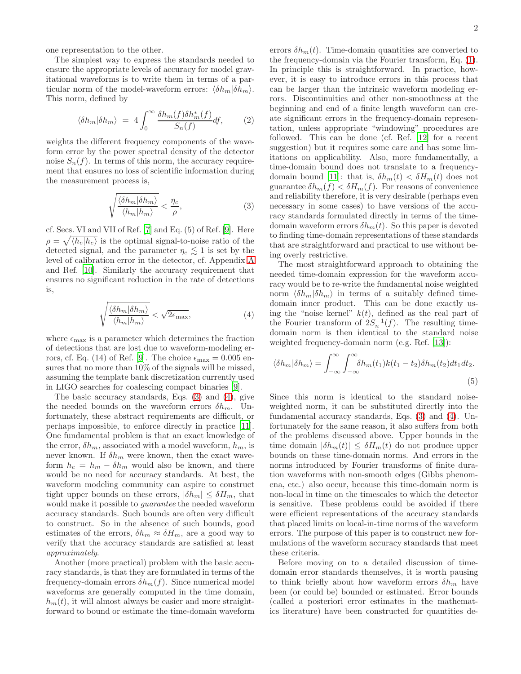one representation to the other.

The simplest way to express the standards needed to ensure the appropriate levels of accuracy for model gravitational waveforms is to write them in terms of a particular norm of the model-waveform errors:  $\langle \delta h_m | \delta h_m \rangle$ . This norm, defined by

$$
\langle \delta h_m | \delta h_m \rangle = 4 \int_0^\infty \frac{\delta h_m(f) \delta h_m^*(f)}{S_n(f)} df, \tag{2}
$$

weights the different frequency components of the waveform error by the power spectral density of the detector noise  $S_n(f)$ . In terms of this norm, the accuracy requirement that ensures no loss of scientific information during the measurement process is,

<span id="page-1-0"></span>
$$
\sqrt{\frac{\langle \delta h_m | \delta h_m \rangle}{\langle h_m | h_m \rangle}} < \frac{\eta_c}{\rho},\tag{3}
$$

cf. Secs. VI and VII of Ref. [\[7](#page-9-6)] and Eq. (5) of Ref. [\[9](#page-9-8)]. Here  $\rho = \sqrt{\langle h_e | h_e \rangle}$  is the optimal signal-to-noise ratio of the detected signal, and the parameter  $\eta_c \lesssim 1$  is set by the level of calibration error in the detector, cf. Appendix [A](#page-6-0) and Ref. [\[10\]](#page-9-10). Similarly the accuracy requirement that ensures no significant reduction in the rate of detections is,

<span id="page-1-1"></span>
$$
\sqrt{\frac{\langle \delta h_m | \delta h_m \rangle}{\langle h_m | h_m \rangle}} < \sqrt{2\epsilon_{\text{max}}},\tag{4}
$$

where  $\epsilon_{\text{max}}$  is a parameter which determines the fraction of detections that are lost due to waveform-modeling er-rors, cf. Eq. (14) of Ref. [\[9\]](#page-9-8). The choice  $\epsilon_{\text{max}} = 0.005$  ensures that no more than 10% of the signals will be missed, assuming the template bank discretization currently used in LIGO searches for coalescing compact binaries [\[9\]](#page-9-8).

The basic accuracy standards, Eqs. [\(3\)](#page-1-0) and [\(4\)](#page-1-1), give the needed bounds on the waveform errors  $\delta h_m$ . Unfortunately, these abstract requirements are difficult, or perhaps impossible, to enforce directly in practice [\[11\]](#page-9-9). One fundamental problem is that an exact knowledge of the error,  $\delta h_m$ , associated with a model waveform,  $h_m$ , is never known. If  $\delta h_m$  were known, then the exact waveform  $h_e = h_m - \delta h_m$  would also be known, and there would be no need for accuracy standards. At best, the waveform modeling community can aspire to construct tight upper bounds on these errors,  $|\delta h_m| \leq \delta H_m$ , that would make it possible to guarantee the needed waveform accuracy standards. Such bounds are often very difficult to construct. So in the absence of such bounds, good estimates of the errors,  $\delta h_m \approx \delta H_m$ , are a good way to verify that the accuracy standards are satisfied at least approximately.

Another (more practical) problem with the basic accuracy standards, is that they are formulated in terms of the frequency-domain errors  $\delta h_m(f)$ . Since numerical model waveforms are generally computed in the time domain,  $h_m(t)$ , it will almost always be easier and more straightforward to bound or estimate the time-domain waveform

errors  $\delta h_m(t)$ . Time-domain quantities are converted to the frequency-domain via the Fourier transform, Eq. [\(1\)](#page-0-0). In principle this is straightforward. In practice, however, it is easy to introduce errors in this process that can be larger than the intrinsic waveform modeling errors. Discontinuities and other non-smoothness at the beginning and end of a finite length waveform can create significant errors in the frequency-domain representation, unless appropriate "windowing" procedures are followed. This can be done (cf. Ref. [\[12\]](#page-9-11) for a recent suggestion) but it requires some care and has some limitations on applicability. Also, more fundamentally, a time-domain bound does not translate to a frequency-domain bound [\[11](#page-9-9)]: that is,  $\delta h_m(t) < \delta H_m(t)$  does not guarantee  $\delta h_m(f) < \delta H_m(f)$ . For reasons of convenience and reliability therefore, it is very desirable (perhaps even necessary in some cases) to have versions of the accuracy standards formulated directly in terms of the timedomain waveform errors  $\delta h_m(t)$ . So this paper is devoted to finding time-domain representations of these standards that are straightforward and practical to use without being overly restrictive.

The most straightforward approach to obtaining the needed time-domain expression for the waveform accuracy would be to re-write the fundamental noise weighted norm  $\langle \delta h_m | \delta h_m \rangle$  in terms of a suitably defined timedomain inner product. This can be done exactly using the "noise kernel"  $k(t)$ , defined as the real part of the Fourier transform of  $2S_n^{-1}(f)$ . The resulting timedomain norm is then identical to the standard noise weighted frequency-domain norm (e.g. Ref. [\[13\]](#page-9-12)):

$$
\langle \delta h_m | \delta h_m \rangle = \int_{-\infty}^{\infty} \int_{-\infty}^{\infty} \delta h_m(t_1) k(t_1 - t_2) \delta h_m(t_2) dt_1 dt_2.
$$
\n(5)

Since this norm is identical to the standard noiseweighted norm, it can be substituted directly into the fundamental accuracy standards, Eqs. [\(3\)](#page-1-0) and [\(4\)](#page-1-1). Unfortunately for the same reason, it also suffers from both of the problems discussed above. Upper bounds in the time domain  $|\delta h_m(t)| \leq \delta H_m(t)$  do not produce upper bounds on these time-domain norms. And errors in the norms introduced by Fourier transforms of finite duration waveforms with non-smooth edges (Gibbs phenomena, etc.) also occur, because this time-domain norm is non-local in time on the timescales to which the detector is sensitive. These problems could be avoided if there were efficient representations of the accuracy standards that placed limits on local-in-time norms of the waveform errors. The purpose of this paper is to construct new formulations of the waveform accuracy standards that meet these criteria.

Before moving on to a detailed discussion of timedomain error standards themselves, it is worth pausing to think briefly about how waveform errors  $\delta h_m$  have been (or could be) bounded or estimated. Error bounds (called a posteriori error estimates in the mathematics literature) have been constructed for quantities de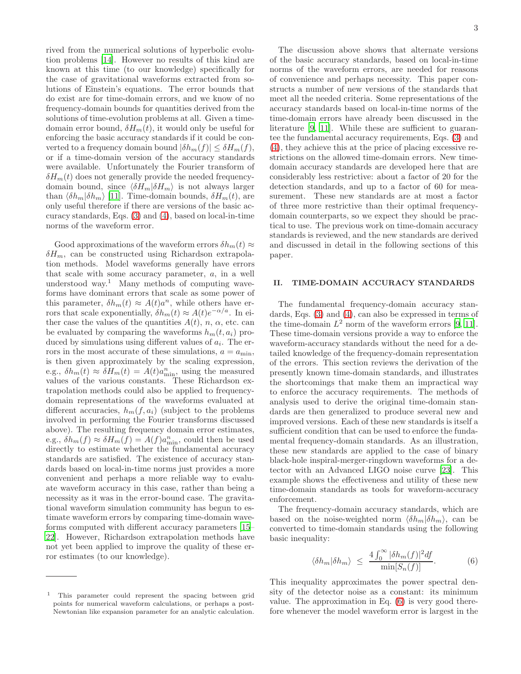rived from the numerical solutions of hyperbolic evolution problems [\[14](#page-9-13)]. However no results of this kind are known at this time (to our knowledge) specifically for the case of gravitational waveforms extracted from solutions of Einstein's equations. The error bounds that do exist are for time-domain errors, and we know of no frequency-domain bounds for quantities derived from the solutions of time-evolution problems at all. Given a timedomain error bound,  $\delta H_m(t)$ , it would only be useful for enforcing the basic accuracy standards if it could be converted to a frequency domain bound  $|\delta h_m(f)| \leq \delta H_m(f)$ , or if a time-domain version of the accuracy standards were available. Unfortunately the Fourier transform of  $\delta H_m(t)$  does not generally provide the needed frequencydomain bound, since  $\langle \delta H_m | \delta H_m \rangle$  is not always larger than  $\langle \delta h_m | \delta h_m \rangle$  [\[11\]](#page-9-9). Time-domain bounds,  $\delta H_m(t)$ , are only useful therefore if there are versions of the basic accuracy standards, Eqs. [\(3\)](#page-1-0) and [\(4\)](#page-1-1), based on local-in-time norms of the waveform error.

Good approximations of the waveform errors  $\delta h_m(t) \approx$  $\delta H_m$ , can be constructed using Richardson extrapolation methods. Model waveforms generally have errors that scale with some accuracy parameter, a, in a well understood way.<sup>1</sup> Many methods of computing waveforms have dominant errors that scale as some power of this parameter,  $\delta h_m(t) \approx A(t)a^n$ , while others have errors that scale exponentially,  $\delta h_m(t) \approx A(t)e^{-\alpha/a}$ . In either case the values of the quantities  $A(t)$ , n,  $\alpha$ , etc. can be evaluated by comparing the waveforms  $h_m(t, a_i)$  produced by simulations using different values of  $a_i$ . The errors in the most accurate of these simulations,  $a = a_{\min}$ , is then given approximately by the scaling expression, e.g.,  $\delta h_m(t) \approx \delta H_m(t) = A(t) a_{\min}^n$ , using the measured values of the various constants. These Richardson extrapolation methods could also be applied to frequencydomain representations of the waveforms evaluated at different accuracies,  $h_m(f, a_i)$  (subject to the problems involved in performing the Fourier transforms discussed above). The resulting frequency domain error estimates, e.g.,  $\delta h_m(f) \approx \delta H_m(f) = A(f) a_{\min}^n$ , could then be used directly to estimate whether the fundamental accuracy standards are satisfied. The existence of accuracy standards based on local-in-time norms just provides a more convenient and perhaps a more reliable way to evaluate waveform accuracy in this case, rather than being a necessity as it was in the error-bound case. The gravitational waveform simulation community has begun to estimate waveform errors by comparing time-domain waveforms computed with different accuracy parameters [\[15](#page-9-14)– [22\]](#page-9-15). However, Richardson extrapolation methods have not yet been applied to improve the quality of these error estimates (to our knowledge).

The discussion above shows that alternate versions of the basic accuracy standards, based on local-in-time norms of the waveform errors, are needed for reasons of convenience and perhaps necessity. This paper constructs a number of new versions of the standards that meet all the needed criteria. Some representations of the accuracy standards based on local-in-time norms of the time-domain errors have already been discussed in the literature [\[9](#page-9-8), [11\]](#page-9-9). While these are sufficient to guarantee the fundamental accuracy requirements, Eqs. [\(3\)](#page-1-0) and [\(4\)](#page-1-1), they achieve this at the price of placing excessive restrictions on the allowed time-domain errors. New timedomain accuracy standards are developed here that are considerably less restrictive: about a factor of 20 for the detection standards, and up to a factor of 60 for measurement. These new standards are at most a factor of three more restrictive than their optimal frequencydomain counterparts, so we expect they should be practical to use. The previous work on time-domain accuracy standards is reviewed, and the new standards are derived and discussed in detail in the following sections of this paper.

## <span id="page-2-1"></span>II. TIME-DOMAIN ACCURACY STANDARDS

The fundamental frequency-domain accuracy standards, Eqs. [\(3\)](#page-1-0) and [\(4\)](#page-1-1), can also be expressed in terms of the time-domain  $L^2$  norm of the waveform errors [\[9,](#page-9-8) [11\]](#page-9-9). These time-domain versions provide a way to enforce the waveform-accuracy standards without the need for a detailed knowledge of the frequency-domain representation of the errors. This section reviews the derivation of the presently known time-domain standards, and illustrates the shortcomings that make them an impractical way to enforce the accuracy requirements. The methods of analysis used to derive the original time-domain standards are then generalized to produce several new and improved versions. Each of these new standards is itself a sufficient condition that can be used to enforce the fundamental frequency-domain standards. As an illustration, these new standards are applied to the case of binary black-hole inspiral-merger-ringdown waveforms for a detector with an Advanced LIGO noise curve [\[23](#page-9-16)]. This example shows the effectiveness and utility of these new time-domain standards as tools for waveform-accuracy enforcement.

The frequency-domain accuracy standards, which are based on the noise-weighted norm  $\langle \delta h_m | \delta h_m \rangle$ , can be converted to time-domain standards using the following basic inequality:

<span id="page-2-0"></span>
$$
\langle \delta h_m | \delta h_m \rangle \leq \frac{4 \int_0^\infty |\delta h_m(f)|^2 df}{\min[S_n(f)]}.
$$
 (6)

This inequality approximates the power spectral density of the detector noise as a constant: its minimum value. The approximation in Eq. [\(6\)](#page-2-0) is very good therefore whenever the model waveform error is largest in the

<sup>1</sup> This parameter could represent the spacing between grid points for numerical waveform calculations, or perhaps a post-Newtonian like expansion parameter for an analytic calculation.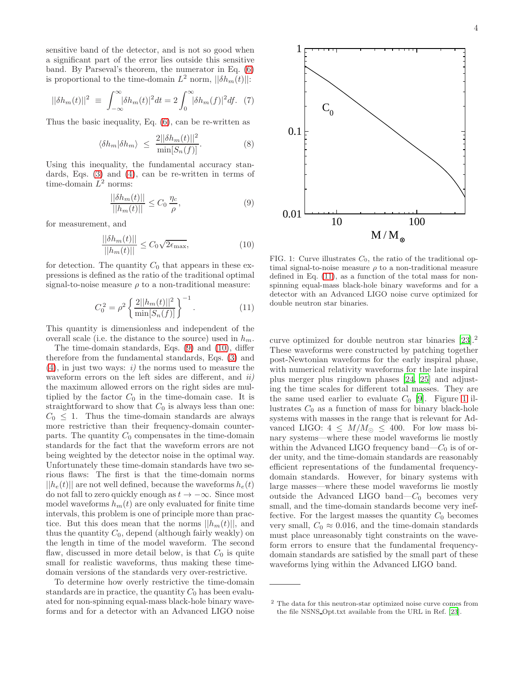sensitive band of the detector, and is not so good when a significant part of the error lies outside this sensitive band. By Parseval's theorem, the numerator in Eq. [\(6\)](#page-2-0) is proportional to the time-domain  $L^2$  norm,  $||\delta h_m(t)||$ :

$$
||\delta h_m(t)||^2 \equiv \int_{-\infty}^{\infty} |\delta h_m(t)|^2 dt = 2 \int_0^{\infty} |\delta h_m(f)|^2 df. \tag{7}
$$

Thus the basic inequality, Eq. [\(6\)](#page-2-0), can be re-written as

$$
\langle \delta h_m | \delta h_m \rangle \le \frac{2||\delta h_m(t)||^2}{\min[S_n(f)]}.
$$
 (8)

Using this inequality, the fundamental accuracy standards, Eqs. [\(3\)](#page-1-0) and [\(4\)](#page-1-1), can be re-written in terms of time-domain  $L^2$  norms:

<span id="page-3-0"></span>
$$
\frac{||\delta h_m(t)||}{||h_m(t)||} \le C_0 \frac{\eta_c}{\rho},\tag{9}
$$

for measurement, and

<span id="page-3-1"></span>
$$
\frac{||\delta h_m(t)||}{||h_m(t)||} \le C_0 \sqrt{2\epsilon_{\text{max}}},\tag{10}
$$

for detection. The quantity  $C_0$  that appears in these expressions is defined as the ratio of the traditional optimal signal-to-noise measure  $\rho$  to a non-traditional measure:

<span id="page-3-2"></span>
$$
C_0^2 = \rho^2 \left\{ \frac{2||h_m(t)||^2}{\min[S_n(f)]} \right\}^{-1}.
$$
 (11)

This quantity is dimensionless and independent of the overall scale (i.e. the distance to the source) used in  $h_m$ .

The time-domain standards, Eqs. [\(9\)](#page-3-0) and [\(10\)](#page-3-1), differ therefore from the fundamental standards, Eqs. [\(3\)](#page-1-0) and  $(4)$ , in just two ways: *i*) the norms used to measure the waveform errors on the left sides are different, and  $ii$ ) the maximum allowed errors on the right sides are multiplied by the factor  $C_0$  in the time-domain case. It is straightforward to show that  $C_0$  is always less than one:  $C_0 \leq 1$ . Thus the time-domain standards are always more restrictive than their frequency-domain counterparts. The quantity  $C_0$  compensates in the time-domain standards for the fact that the waveform errors are not being weighted by the detector noise in the optimal way. Unfortunately these time-domain standards have two serious flaws: The first is that the time-domain norms  $||h_e(t)||$  are not well defined, because the waveforms  $h_e(t)$ do not fall to zero quickly enough as  $t \to -\infty$ . Since most model waveforms  $h_m(t)$  are only evaluated for finite time intervals, this problem is one of principle more than practice. But this does mean that the norms  $||h_m(t)||$ , and thus the quantity  $C_0$ , depend (although fairly weakly) on the length in time of the model waveform. The second flaw, discussed in more detail below, is that  $C_0$  is quite small for realistic waveforms, thus making these timedomain versions of the standards very over-restrictive.

To determine how overly restrictive the time-domain standards are in practice, the quantity  $C_0$  has been evaluated for non-spinning equal-mass black-hole binary waveforms and for a detector with an Advanced LIGO noise



<span id="page-3-3"></span>FIG. 1: Curve illustrates  $C_0$ , the ratio of the traditional optimal signal-to-noise measure  $\rho$  to a non-traditional measure defined in Eq. [\(11\)](#page-3-2), as a function of the total mass for nonspinning equal-mass black-hole binary waveforms and for a detector with an Advanced LIGO noise curve optimized for double neutron star binaries.

curve optimized for double neutron star binaries [\[23](#page-9-16)].<sup>2</sup> These waveforms were constructed by patching together post-Newtonian waveforms for the early inspiral phase, with numerical relativity waveforms for the late inspiral plus merger plus ringdown phases [\[24,](#page-9-17) [25\]](#page-9-18) and adjusting the time scales for different total masses. They are the same used earlier to evaluate  $C_0$  [\[9](#page-9-8)]. Figure [1](#page-3-3) illustrates  $C_0$  as a function of mass for binary black-hole systems with masses in the range that is relevant for Advanced LIGO:  $4 \leq M/M_{\odot} \leq 400$ . For low mass binary systems—where these model waveforms lie mostly within the Advanced LIGO frequency band— $C_0$  is of order unity, and the time-domain standards are reasonably efficient representations of the fundamental frequencydomain standards. However, for binary systems with large masses—where these model waveforms lie mostly outside the Advanced LIGO band— $C_0$  becomes very small, and the time-domain standards become very ineffective. For the largest masses the quantity  $C_0$  becomes very small,  $C_0 \approx 0.016$ , and the time-domain standards must place unreasonably tight constraints on the waveform errors to ensure that the fundamental frequencydomain standards are satisfied by the small part of these waveforms lying within the Advanced LIGO band.

<sup>2</sup> The data for this neutron-star optimized noise curve comes from the file NSNS Opt.txt available from the URL in Ref. [\[23](#page-9-16)].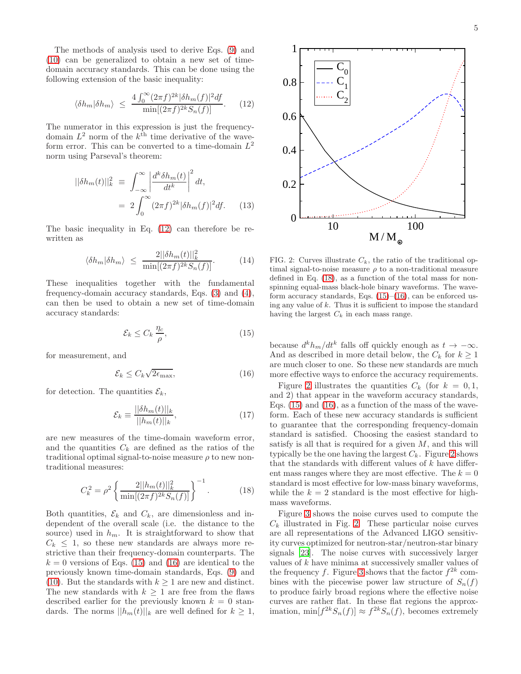The methods of analysis used to derive Eqs. [\(9\)](#page-3-0) and [\(10\)](#page-3-1) can be generalized to obtain a new set of timedomain accuracy standards. This can be done using the following extension of the basic inequality:

<span id="page-4-0"></span>
$$
\langle \delta h_m | \delta h_m \rangle \le \frac{4 \int_0^\infty (2\pi f)^{2k} |\delta h_m(f)|^2 df}{\min[(2\pi f)^{2k} S_n(f)]}.
$$
 (12)

The numerator in this expression is just the frequencydomain  $L^2$  norm of the  $k^{\text{th}}$  time derivative of the waveform error. This can be converted to a time-domain  $L^2$ norm using Parseval's theorem:

$$
||\delta h_m(t)||_k^2 \equiv \int_{-\infty}^{\infty} \left| \frac{d^k \delta h_m(t)}{dt^k} \right|^2 dt,
$$
  
= 
$$
2 \int_0^{\infty} (2\pi f)^{2k} |\delta h_m(f)|^2 df.
$$
 (13)

The basic inequality in Eq. [\(12\)](#page-4-0) can therefore be rewritten as

$$
\langle \delta h_m | \delta h_m \rangle \leq \frac{2||\delta h_m(t)||_k^2}{\min[(2\pi f)^{2k} S_n(f)]}.
$$
 (14)

These inequalities together with the fundamental frequency-domain accuracy standards, Eqs. [\(3\)](#page-1-0) and [\(4\)](#page-1-1), can then be used to obtain a new set of time-domain accuracy standards:

<span id="page-4-1"></span>
$$
\mathcal{E}_k \le C_k \, \frac{\eta_c}{\rho},\tag{15}
$$

for measurement, and

<span id="page-4-2"></span>
$$
\mathcal{E}_k \le C_k \sqrt{2\epsilon_{\text{max}}},\tag{16}
$$

for detection. The quantities  $\mathcal{E}_k$ ,

<span id="page-4-5"></span>
$$
\mathcal{E}_k \equiv \frac{||\delta h_m(t)||_k}{||h_m(t)||_k},\tag{17}
$$

are new measures of the time-domain waveform error, and the quantities  $C_k$  are defined as the ratios of the traditional optimal signal-to-noise measure  $\rho$  to new nontraditional measures:

<span id="page-4-3"></span>
$$
C_k^2 = \rho^2 \left\{ \frac{2||h_m(t)||_k^2}{\min[(2\pi f)^{2k} S_n(f)]} \right\}^{-1}.
$$
 (18)

Both quantities,  $\mathcal{E}_k$  and  $C_k$ , are dimensionless and independent of the overall scale (i.e. the distance to the source) used in  $h_m$ . It is straightforward to show that  $C_k \leq 1$ , so these new standards are always more restrictive than their frequency-domain counterparts. The  $k = 0$  versions of Eqs. [\(15\)](#page-4-1) and [\(16\)](#page-4-2) are identical to the previously known time-domain standards, Eqs. [\(9\)](#page-3-0) and [\(10\)](#page-3-1). But the standards with  $k \geq 1$  are new and distinct. The new standards with  $k \geq 1$  are free from the flaws described earlier for the previously known  $k = 0$  standards. The norms  $||h_m(t)||_k$  are well defined for  $k \geq 1$ ,



<span id="page-4-4"></span>FIG. 2: Curves illustrate  $C_k$ , the ratio of the traditional optimal signal-to-noise measure  $\rho$  to a non-traditional measure defined in Eq. [\(18\)](#page-4-3), as a function of the total mass for nonspinning equal-mass black-hole binary waveforms. The waveform accuracy standards, Eqs.  $(15)$ – $(16)$ , can be enforced using any value of  $k$ . Thus it is sufficient to impose the standard having the largest  $C_k$  in each mass range.

because  $d^k h_m/dt^k$  falls off quickly enough as  $t \to -\infty$ . And as described in more detail below, the  $C_k$  for  $k \geq 1$ are much closer to one. So these new standards are much more effective ways to enforce the accuracy requirements.

Figure [2](#page-4-4) illustrates the quantities  $C_k$  (for  $k = 0, 1$ , and 2) that appear in the waveform accuracy standards, Eqs.  $(15)$  and  $(16)$ , as a function of the mass of the waveform. Each of these new accuracy standards is sufficient to guarantee that the corresponding frequency-domain standard is satisfied. Choosing the easiest standard to satisfy is all that is required for a given  $M$ , and this will typically be the one having the largest  $C_k$ . Figure [2](#page-4-4) shows that the standards with different values of  $k$  have different mass ranges where they are most effective. The  $k = 0$ standard is most effective for low-mass binary waveforms, while the  $k = 2$  standard is the most effective for highmass waveforms.

Figure [3](#page-5-0) shows the noise curves used to compute the  $C_k$  illustrated in Fig. [2.](#page-4-4) These particular noise curves are all representations of the Advanced LIGO sensitivity curves optimized for neutron-star/neutron-star binary signals [\[23](#page-9-16)]. The noise curves with successively larger values of k have minima at successively smaller values of the frequency f. Figure [3](#page-5-0) shows that the factor  $f^{2k}$  combines with the piecewise power law structure of  $S_n(f)$ to produce fairly broad regions where the effective noise curves are rather flat. In these flat regions the approximation,  $\min[f^{2k}S_n(f)] \approx f^{2k}S_n(f)$ , becomes extremely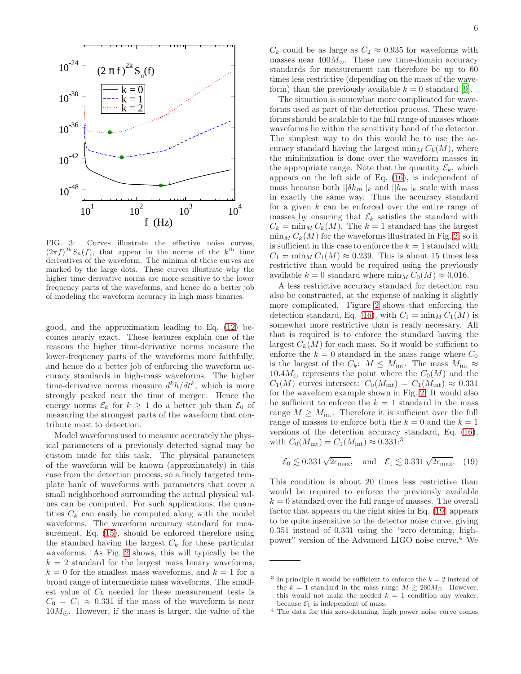

<span id="page-5-0"></span>FIG. 3: Curves illustrate the effective noise curves,  $(2\pi f)^{2k} S_n(f)$ , that appear in the norms of the  $k^{\text{th}}$  time derivatives of the waveform. The minima of these curves are marked by the large dots. These curves illustrate why the higher time derivative norms are more sensitive to the lower frequency parts of the waveforms, and hence do a better job of modeling the waveform accuracy in high mass binaries.

good, and the approximation leading to Eq. [\(12\)](#page-4-0) becomes nearly exact. These features explain one of the reasons the higher time-derivative norms measure the lower-frequency parts of the waveforms more faithfully, and hence do a better job of enforcing the waveform accuracy standards in high-mass waveforms. The higher time-derivative norms measure  $d^k h/dt^k$ , which is more strongly peaked near the time of merger. Hence the energy norms  $\mathcal{E}_k$  for  $k \geq 1$  do a better job than  $\mathcal{E}_0$  of measuring the strongest parts of the waveform that contribute most to detection.

Model waveforms used to measure accurately the physical parameters of a previously detected signal may be custom made for this task. The physical parameters of the waveform will be known (approximately) in this case from the detection process, so a finely targeted template bank of waveforms with parameters that cover a small neighborhood surrounding the actual physical values can be computed. For such applications, the quantities  $C_k$  can easily be computed along with the model waveforms. The waveform accuracy standard for measurement, Eq. [\(15\)](#page-4-1), should be enforced therefore using the standard having the largest  $C_k$  for these particular waveforms. As Fig. [2](#page-4-4) shows, this will typically be the  $k = 2$  standard for the largest mass binary waveforms,  $k = 0$  for the smallest mass waveforms, and  $k = 1$  for a broad range of intermediate mass waveforms. The smallest value of  $C_k$  needed for these measurement tests is  $C_0 = C_1 \approx 0.331$  if the mass of the waveform is near  $10M_{\odot}$ . However, if the mass is larger, the value of the

 $C_k$  could be as large as  $C_2 \approx 0.935$  for waveforms with masses near  $400M_{\odot}$ . These new time-domain accuracy standards for measurement can therefore be up to 60 times less restrictive (depending on the mass of the waveform) than the previously available  $k = 0$  standard [\[9\]](#page-9-8).

The situation is somewhat more complicated for waveforms used as part of the detection process. These waveforms should be scalable to the full range of masses whose waveforms lie within the sensitivity band of the detector. The simplest way to do this would be to use the accuracy standard having the largest  $\min_M C_k(M)$ , where the minimization is done over the waveform masses in the appropriate range. Note that the quantity  $\mathcal{E}_k$ , which appears on the left side of Eq. [\(16\)](#page-4-2), is independent of mass because both  $||\delta h_m||_k$  and  $||h_m||_k$  scale with mass in exactly the same way. Thus the accuracy standard for a given  $k$  can be enforced over the entire range of masses by ensuring that  $\mathcal{E}_k$  satisfies the standard with  $C_k = \min_M C_k(M)$ . The  $k = 1$  standard has the largest  $\min_M C_k(M)$  for the waveforms illustrated in Fig. [2,](#page-4-4) so it is sufficient in this case to enforce the  $k = 1$  standard with  $C_1 = \min_M C_1(M) \approx 0.239$ . This is about 15 times less restrictive than would be required using the previously available  $k = 0$  standard where  $\min_M C_0(M) \approx 0.016$ .

A less restrictive accuracy standard for detection can also be constructed, at the expense of making it slightly more complicated. Figure [2](#page-4-4) shows that enforcing the detection standard, Eq. [\(16\)](#page-4-2), with  $C_1 = \min_M C_1(M)$  is somewhat more restrictive than is really necessary. All that is required is to enforce the standard having the largest  $C_k(M)$  for each mass. So it would be sufficient to enforce the  $k = 0$  standard in the mass range where  $C_0$ is the largest of the  $C_k$ :  $M \leq M_{\text{int}}$ . The mass  $M_{\text{int}} \approx$  $10.4M_{\odot}$  represents the point where the  $C_0(M)$  and the  $C_1(M)$  curves intersect:  $C_0(M_{\text{int}}) = C_1(M_{\text{int}}) \approx 0.331$ for the waveform example shown in Fig. [2.](#page-4-4) It would also be sufficient to enforce the  $k = 1$  standard in the mass range  $M \geq M_{\text{int}}$ . Therefore it is sufficient over the full range of masses to enforce both the  $k = 0$  and the  $k = 1$ versions of the detection accuracy standard, Eq. [\(16\)](#page-4-2), with  $C_0(M_{\rm int}) = C_1(M_{\rm int}) \approx 0.331$ :<sup>3</sup>

<span id="page-5-1"></span>
$$
\mathcal{E}_0 \lesssim 0.331 \sqrt{2\epsilon_{\text{max}}}, \text{ and } \mathcal{E}_1 \lesssim 0.331 \sqrt{2\epsilon_{\text{max}}}.
$$
 (19)

This condition is about 20 times less restrictive than would be required to enforce the previously available  $k = 0$  standard over the full range of masses. The overall factor that appears on the right sides in Eq. [\(19\)](#page-5-1) appears to be quite insensitive to the detector noise curve, giving 0.351 instead of 0.331 using the "zero detuning, highpower" version of the Advanced LIGO noise curve.<sup>4</sup> We

<sup>&</sup>lt;sup>3</sup> In principle it would be sufficient to enforce the  $k = 2$  instead of the  $k = 1$  standard in the mass range  $M \geq 260 M_{\odot}$ . However, this would not make the needed  $k = 1$  condition any weaker, because  $\mathcal{E}_1$  is independent of mass.

<sup>4</sup> The data for this zero-detuning, high power noise curve comes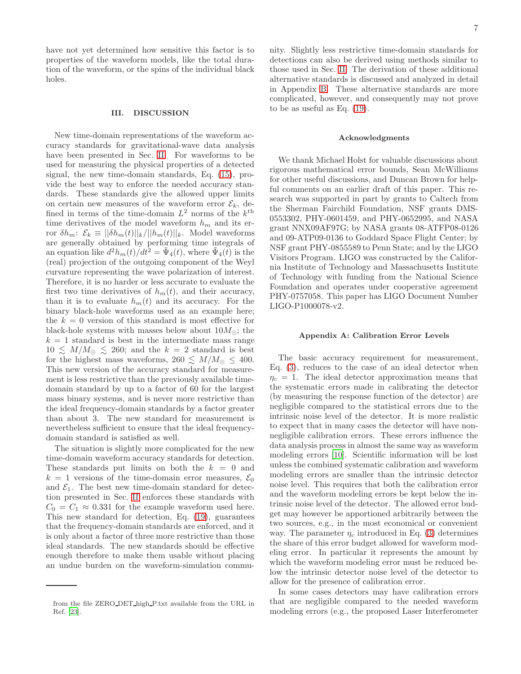have not yet determined how sensitive this factor is to properties of the waveform models, like the total duration of the waveform, or the spins of the individual black holes.

# III. DISCUSSION

New time-domain representations of the waveform accuracy standards for gravitational-wave data analysis have been presented in Sec. [II.](#page-2-1) For waveforms to be used for measuring the physical properties of a detected signal, the new time-domain standards, Eq. [\(15\)](#page-4-1), provide the best way to enforce the needed accuracy standards. These standards give the allowed upper limits on certain new measures of the waveform error  $\mathcal{E}_k$ , defined in terms of the time-domain  $L^2$  norms of the  $k^{\text{th}}$ time derivatives of the model waveform  $h_m$  and its error  $\delta h_m$ :  $\mathcal{E}_k \equiv ||\delta h_m(t)||_k/||h_m(t)||_k$ . Model waveforms are generally obtained by performing time integrals of an equation like  $d^2h_m(t)/dt^2 = \tilde{\Psi}_4(t)$ , where  $\tilde{\Psi}_4(t)$  is the (real) projection of the outgoing component of the Weyl curvature representing the wave polarization of interest. Therefore, it is no harder or less accurate to evaluate the first two time derivatives of  $h_m(t)$ , and their accuracy, than it is to evaluate  $h_m(t)$  and its accuracy. For the binary black-hole waveforms used as an example here; the  $k = 0$  version of this standard is most effective for black-hole systems with masses below about  $10M_{\odot}$ ; the  $k = 1$  standard is best in the intermediate mass range  $10 \lesssim M/M_{\odot} \lesssim 260$ ; and the  $k = 2$  standard is best for the highest mass waveforms,  $260 \leq M/M_{\odot} \leq 400$ . This new version of the accuracy standard for measurement is less restrictive than the previously available timedomain standard by up to a factor of 60 for the largest mass binary systems, and is never more restrictive than the ideal frequency-domain standards by a factor greater than about 3. The new standard for measurement is nevertheless sufficient to ensure that the ideal frequencydomain standard is satisfied as well.

The situation is slightly more complicated for the new time-domain waveform accuracy standards for detection. These standards put limits on both the  $k = 0$  and  $k = 1$  versions of the time-domain error measures,  $\mathcal{E}_0$ and  $\mathcal{E}_1$ . The best new time-domain standard for detection presented in Sec. [II](#page-2-1) enforces these standards with  $C_0 = C_1 \approx 0.331$  for the example waveform used here. This new standard for detection, Eq. [\(19\)](#page-5-1), guarantees that the frequency-domain standards are enforced, and it is only about a factor of three more restrictive than those ideal standards. The new standards should be effective enough therefore to make them usable without placing an undue burden on the waveform-simulation community. Slightly less restrictive time-domain standards for detections can also be derived using methods similar to those used in Sec. [II.](#page-2-1) The derivation of these additional alternative standards is discussed and analyzed in detail in Appendix [B.](#page-7-0) These alternative standards are more complicated, however, and consequently may not prove to be as useful as Eq. [\(19\)](#page-5-1).

### Acknowledgments

We thank Michael Holst for valuable discussions about rigorous mathematical error bounds, Sean McWilliams for other useful discussions, and Duncan Brown for helpful comments on an earlier draft of this paper. This research was supported in part by grants to Caltech from the Sherman Fairchild Foundation, NSF grants DMS-0553302, PHY-0601459, and PHY-0652995, and NASA grant NNX09AF97G; by NASA grants 08-ATFP08-0126 and 09-ATP09-0136 to Goddard Space Flight Center; by NSF grant PHY-0855589 to Penn State; and by the LIGO Visitors Program. LIGO was constructed by the California Institute of Technology and Massachusetts Institute of Technology with funding from the National Science Foundation and operates under cooperative agreement PHY-0757058. This paper has LIGO Document Number LIGO-P1000078-v2.

## <span id="page-6-0"></span>Appendix A: Calibration Error Levels

The basic accuracy requirement for measurement, Eq. [\(3\)](#page-1-0), reduces to the case of an ideal detector when  $\eta_c = 1$ . The ideal detector approximation means that the systematic errors made in calibrating the detector (by measuring the response function of the detector) are negligible compared to the statistical errors due to the intrinsic noise level of the detector. It is more realistic to expect that in many cases the detector will have nonnegligible calibration errors. These errors influence the data analysis process in almost the same way as waveform modeling errors [\[10\]](#page-9-10). Scientific information will be lost unless the combined systematic calibration and waveform modeling errors are smaller than the intrinsic detector noise level. This requires that both the calibration error and the waveform modeling errors be kept below the intrinsic noise level of the detector. The allowed error budget may however be apportioned arbitrarily between the two sources, e.g., in the most economical or convenient way. The parameter  $\eta_c$  introduced in Eq. [\(3\)](#page-1-0) determines the share of this error budget allowed for waveform modeling error. In particular it represents the amount by which the waveform modeling error must be reduced below the intrinsic detector noise level of the detector to allow for the presence of calibration error.

In some cases detectors may have calibration errors that are negligible compared to the needed waveform modeling errors (e.g., the proposed Laser Interferometer

from the file ZERO DET high P.txt available from the URL in Ref. [\[23](#page-9-16)].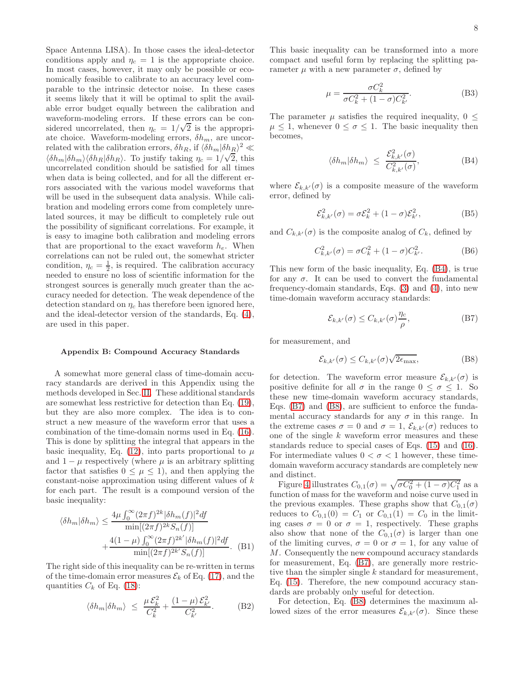Space Antenna LISA). In those cases the ideal-detector conditions apply and  $\eta_c = 1$  is the appropriate choice. In most cases, however, it may only be possible or economically feasible to calibrate to an accuracy level comparable to the intrinsic detector noise. In these cases it seems likely that it will be optimal to split the available error budget equally between the calibration and waveform-modeling errors. If these errors can be considered uncorrelated, then  $\eta_c = 1/\sqrt{2}$  is the appropriate choice. Waveform-modeling errors,  $\delta h_m$ , are uncorrelated with the calibration errors,  $\delta h_R$ , if  $\langle \delta h_m | \delta h_R \rangle^2 \ll$  $\langle \delta h_m | \delta h_m \rangle \langle \delta h_R | \delta h_R \rangle$ . To justify taking  $\eta_c = 1/\sqrt{2}$ , this uncorrelated condition should be satisfied for all times when data is being collected, and for all the different errors associated with the various model waveforms that will be used in the subsequent data analysis. While calibration and modeling errors come from completely unrelated sources, it may be difficult to completely rule out the possibility of significant correlations. For example, it is easy to imagine both calibration and modeling errors that are proportional to the exact waveform  $h_e$ . When correlations can not be ruled out, the somewhat stricter condition,  $\eta_c = \frac{1}{2}$ , is required. The calibration accuracy needed to ensure no loss of scientific information for the strongest sources is generally much greater than the accuracy needed for detection. The weak dependence of the detection standard on  $\eta_c$  has therefore been ignored here, and the ideal-detector version of the standards, Eq. [\(4\)](#page-1-1), are used in this paper.

# <span id="page-7-0"></span>Appendix B: Compound Accuracy Standards

A somewhat more general class of time-domain accuracy standards are derived in this Appendix using the methods developed in Sec. [II.](#page-2-1) These additional standards are somewhat less restrictive for detection than Eq. [\(19\)](#page-5-1), but they are also more complex. The idea is to construct a new measure of the waveform error that uses a combination of the time-domain norms used in Eq. [\(16\)](#page-4-2). This is done by splitting the integral that appears in the basic inequality, Eq. [\(12\)](#page-4-0), into parts proportional to  $\mu$ and  $1 - \mu$  respectively (where  $\mu$  is an arbitrary splitting factor that satisfies  $0 \leq \mu \leq 1$ , and then applying the constant-noise approximation using different values of k for each part. The result is a compound version of the basic inequality:

$$
\langle \delta h_m | \delta h_m \rangle \le \frac{4\mu \int_0^\infty (2\pi f)^{2k} |\delta h_m(f)|^2 df}{\min[(2\pi f)^{2k} S_n(f)]} + \frac{4(1-\mu) \int_0^\infty (2\pi f)^{2k'} |\delta h_m(f)|^2 df}{\min[(2\pi f)^{2k'} S_n(f)]}.
$$
 (B1)

The right side of this inequality can be re-written in terms of the time-domain error measures  $\mathcal{E}_k$  of Eq. [\(17\)](#page-4-5), and the quantities  $C_k$  of Eq. [\(18\)](#page-4-3):

$$
\langle \delta h_m | \delta h_m \rangle \le \frac{\mu \mathcal{E}_k^2}{C_k^2} + \frac{(1-\mu) \mathcal{E}_{k'}^2}{C_{k'}^2}.
$$
 (B2)

This basic inequality can be transformed into a more compact and useful form by replacing the splitting parameter  $\mu$  with a new parameter  $\sigma$ , defined by

$$
\mu = \frac{\sigma C_k^2}{\sigma C_k^2 + (1 - \sigma) C_{k'}^2}.
$$
\n(B3)

The parameter  $\mu$  satisfies the required inequality,  $0 \leq$  $\mu \leq 1$ , whenever  $0 \leq \sigma \leq 1$ . The basic inequality then becomes,

<span id="page-7-1"></span>
$$
\langle \delta h_m | \delta h_m \rangle \le \frac{\mathcal{E}_{k,k'}^2(\sigma)}{C_{k,k'}^2(\sigma)},
$$
 (B4)

where  $\mathcal{E}_{k,k'}(\sigma)$  is a composite measure of the waveform error, defined by

<span id="page-7-4"></span>
$$
\mathcal{E}_{k,k'}^2(\sigma) = \sigma \mathcal{E}_k^2 + (1 - \sigma) \mathcal{E}_{k'}^2,\tag{B5}
$$

and  $C_{k,k'}(\sigma)$  is the composite analog of  $C_k$ , defined by

$$
C_{k,k'}^2(\sigma) = \sigma C_k^2 + (1 - \sigma)C_{k'}^2.
$$
 (B6)

This new form of the basic inequality, Eq. [\(B4\)](#page-7-1), is true for any  $\sigma$ . It can be used to convert the fundamental frequency-domain standards, Eqs. [\(3\)](#page-1-0) and [\(4\)](#page-1-1), into new time-domain waveform accuracy standards:

<span id="page-7-2"></span>
$$
\mathcal{E}_{k,k'}(\sigma) \le C_{k,k'}(\sigma) \frac{\eta_c}{\rho},\tag{B7}
$$

for measurement, and

<span id="page-7-3"></span>
$$
\mathcal{E}_{k,k'}(\sigma) \le C_{k,k'}(\sigma)\sqrt{2\epsilon_{\max}},\tag{B8}
$$

for detection. The waveform error measure  $\mathcal{E}_{k,k'}(\sigma)$  is positive definite for all  $\sigma$  in the range  $0 \leq \sigma \leq 1$ . So these new time-domain waveform accuracy standards, Eqs. [\(B7\)](#page-7-2) and [\(B8\)](#page-7-3), are sufficient to enforce the fundamental accuracy standards for any  $\sigma$  in this range. In the extreme cases  $\sigma = 0$  and  $\sigma = 1$ ,  $\mathcal{E}_{k,k'}(\sigma)$  reduces to one of the single  $k$  waveform error measures and these standards reduce to special cases of Eqs. [\(15\)](#page-4-1) and [\(16\)](#page-4-2). For intermediate values  $0 < \sigma < 1$  however, these timedomain waveform accuracy standards are completely new and distinct.

Figure [4](#page-8-0) illustrates  $C_{0,1}(\sigma) = \sqrt{\sigma C_0^2 + (1 - \sigma)C_1^2}$  as a function of mass for the waveform and noise curve used in the previous examples. These graphs show that  $C_{0,1}(\sigma)$ reduces to  $C_{0,1}(0) = C_1$  or  $C_{0,1}(1) = C_0$  in the limiting cases  $\sigma = 0$  or  $\sigma = 1$ , respectively. These graphs also show that none of the  $C_{0,1}(\sigma)$  is larger than one of the limiting curves,  $\sigma = 0$  or  $\sigma = 1$ , for any value of M. Consequently the new compound accuracy standards for measurement, Eq. [\(B7\)](#page-7-2), are generally more restrictive than the simpler single k standard for measurement, Eq. [\(15\)](#page-4-1). Therefore, the new compound accuracy standards are probably only useful for detection.

For detection, Eq. [\(B8\)](#page-7-3) determines the maximum allowed sizes of the error measures  $\mathcal{E}_{k,k'}(\sigma)$ . Since these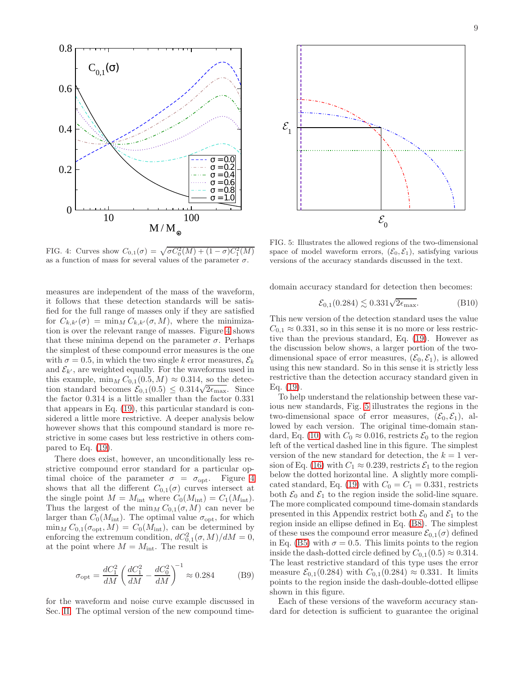

<span id="page-8-0"></span>FIG. 4: Curves show  $C_{0,1}(\sigma) = \sqrt{\sigma C_0^2(M) + (1 - \sigma)C_1^2(M)}$ as a function of mass for several values of the parameter  $\sigma$ .

measures are independent of the mass of the waveform, it follows that these detection standards will be satisfied for the full range of masses only if they are satisfied for  $C_{k,k'}(\sigma) = \min_M C_{k,k'}(\sigma,M)$ , where the minimization is over the relevant range of masses. Figure [4](#page-8-0) shows that these minima depend on the parameter  $\sigma$ . Perhaps the simplest of these compound error measures is the one with  $\sigma = 0.5$ , in which the two single k error measures,  $\mathcal{E}_k$ and  $\mathcal{E}_{k'}$ , are weighted equally. For the waveforms used in this example,  $\min_M C_{0,1}(0.5, M) \approx 0.314$ , so the detection standard becomes  $\mathcal{E}_{0,1}(0.5) \leq 0.314\sqrt{2\epsilon_{\text{max}}}$ . Since the factor 0.314 is a little smaller than the factor 0.331 that appears in Eq. [\(19\)](#page-5-1), this particular standard is considered a little more restrictive. A deeper analysis below however shows that this compound standard is more restrictive in some cases but less restrictive in others compared to Eq. [\(19\)](#page-5-1).

There does exist, however, an unconditionally less restrictive compound error standard for a particular optimal choice of the parameter  $\sigma = \sigma_{\text{opt}}$ . Figure [4](#page-8-0) shows that all the different  $C_{0,1}(\sigma)$  curves intersect at the single point  $M = M_{\text{int}}$  where  $C_0(M_{\text{int}}) = C_1(M_{\text{int}})$ . Thus the largest of the  $\min_M C_{0,1}(\sigma, M)$  can never be larger than  $C_0(M_{\text{int}})$ . The optimal value  $\sigma_{\text{opt}}$ , for which  $\min_M C_{0,1}(\sigma_{\text{opt}}, M) = C_0(M_{\text{int}}),$  can be determined by enforcing the extremum condition,  $dC_{0,1}^2(\sigma, M)/dM = 0$ , at the point where  $M = M_{\text{int}}$ . The result is

$$
\sigma_{\rm opt} = \frac{dC_1^2}{dM} \left( \frac{dC_1^2}{dM} - \frac{dC_0^2}{dM} \right)^{-1} \approx 0.284
$$
 (B9)

for the waveform and noise curve example discussed in Sec. [II.](#page-2-1) The optimal version of the new compound time-



<span id="page-8-1"></span>FIG. 5: Illustrates the allowed regions of the two-dimensional space of model waveform errors,  $(\mathcal{E}_0, \mathcal{E}_1)$ , satisfying various versions of the accuracy standards discussed in the text.

domain accuracy standard for detection then becomes:

$$
\mathcal{E}_{0,1}(0.284) \lesssim 0.331\sqrt{2\epsilon_{\text{max}}}.\tag{B10}
$$

This new version of the detection standard uses the value  $C_{0,1} \approx 0.331$ , so in this sense it is no more or less restrictive than the previous standard, Eq. [\(19\)](#page-5-1). However as the discussion below shows, a larger portion of the twodimensional space of error measures,  $(\mathcal{E}_0, \mathcal{E}_1)$ , is allowed using this new standard. So in this sense it is strictly less restrictive than the detection accuracy standard given in Eq. [\(19\)](#page-5-1).

To help understand the relationship between these various new standards, Fig. [5](#page-8-1) illustrates the regions in the two-dimensional space of error measures,  $(\mathcal{E}_0, \mathcal{E}_1)$ , allowed by each version. The original time-domain stan-dard, Eq. [\(10\)](#page-3-1) with  $C_0 \approx 0.016$ , restricts  $\mathcal{E}_0$  to the region left of the vertical dashed line in this figure. The simplest version of the new standard for detection, the  $k = 1$  ver-sion of Eq. [\(16\)](#page-4-2) with  $C_1 \approx 0.239$ , restricts  $\mathcal{E}_1$  to the region below the dotted horizontal line. A slightly more compli-cated standard, Eq. [\(19\)](#page-5-1) with  $C_0 = C_1 = 0.331$ , restricts both  $\mathcal{E}_0$  and  $\mathcal{E}_1$  to the region inside the solid-line square. The more complicated compound time-domain standards presented in this Appendix restrict both  $\mathcal{E}_0$  and  $\mathcal{E}_1$  to the region inside an ellipse defined in Eq. [\(B8\)](#page-7-3). The simplest of these uses the compound error measure  $\mathcal{E}_{0,1}(\sigma)$  defined in Eq. [\(B5\)](#page-7-4) with  $\sigma = 0.5$ . This limits points to the region inside the dash-dotted circle defined by  $C_{0.1}(0.5) \approx 0.314$ . The least restrictive standard of this type uses the error measure  $\mathcal{E}_{0,1}(0.284)$  with  $C_{0,1}(0.284) \approx 0.331$ . It limits points to the region inside the dash-double-dotted ellipse shown in this figure.

Each of these versions of the waveform accuracy standard for detection is sufficient to guarantee the original